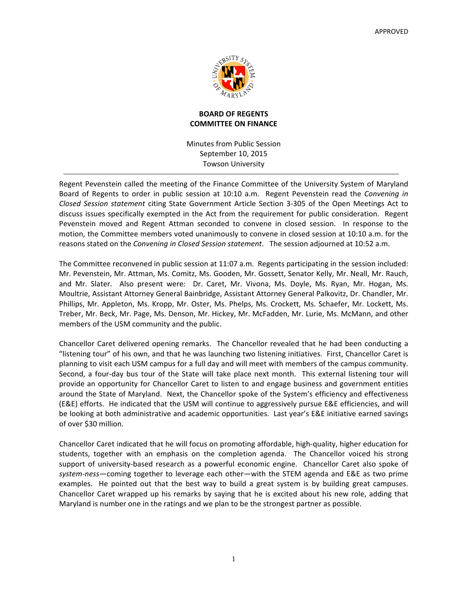

#### **BOARD OF REGENTS COMMITTEE ON FINANCE**

Minutes from Public Session September 10, 2015 Towson University

Regent Pevenstein called the meeting of the Finance Committee of the University System of Maryland Board of Regents to order in public session at 10:10 a.m. Regent Pevenstein read the *Convening in Closed Session statement* citing State Government Article Section 3‐305 of the Open Meetings Act to discuss issues specifically exempted in the Act from the requirement for public consideration. Regent Pevenstein moved and Regent Attman seconded to convene in closed session. In response to the motion, the Committee members voted unanimously to convene in closed session at 10:10 a.m. for the reasons stated on the *Convening in Closed Session statement*. The session adjourned at 10:52 a.m.

The Committee reconvened in public session at 11:07 a.m. Regents participating in the session included: Mr. Pevenstein, Mr. Attman, Ms. Comitz, Ms. Gooden, Mr. Gossett, Senator Kelly, Mr. Neall, Mr. Rauch, and Mr. Slater. Also present were: Dr. Caret, Mr. Vivona, Ms. Doyle, Ms. Ryan, Mr. Hogan, Ms. Moultrie, Assistant Attorney General Bainbridge, Assistant Attorney General Palkovitz, Dr. Chandler, Mr. Phillips, Mr. Appleton, Ms. Kropp, Mr. Oster, Ms. Phelps, Ms. Crockett, Ms. Schaefer, Mr. Lockett, Ms. Treber, Mr. Beck, Mr. Page, Ms. Denson, Mr. Hickey, Mr. McFadden, Mr. Lurie, Ms. McMann, and other members of the USM community and the public.

Chancellor Caret delivered opening remarks. The Chancellor revealed that he had been conducting a "listening tour" of his own, and that he was launching two listening initiatives. First, Chancellor Caret is planning to visit each USM campus for a full day and will meet with members of the campus community. Second, a four-day bus tour of the State will take place next month. This external listening tour will provide an opportunity for Chancellor Caret to listen to and engage business and government entities around the State of Maryland. Next, the Chancellor spoke of the System's efficiency and effectiveness (E&E) efforts. He indicated that the USM will continue to aggressively pursue E&E efficiencies, and will be looking at both administrative and academic opportunities. Last year's E&E initiative earned savings of over \$30 million.

Chancellor Caret indicated that he will focus on promoting affordable, high‐quality, higher education for students, together with an emphasis on the completion agenda. The Chancellor voiced his strong support of university‐based research as a powerful economic engine. Chancellor Caret also spoke of *system‐ness*—coming together to leverage each other—with the STEM agenda and E&E as two prime examples. He pointed out that the best way to build a great system is by building great campuses. Chancellor Caret wrapped up his remarks by saying that he is excited about his new role, adding that Maryland is number one in the ratings and we plan to be the strongest partner as possible.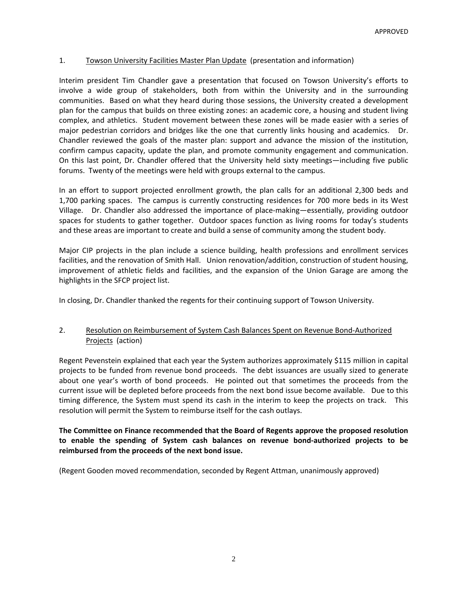### 1. Towson University Facilities Master Plan Update (presentation and information)

Interim president Tim Chandler gave a presentation that focused on Towson University's efforts to involve a wide group of stakeholders, both from within the University and in the surrounding communities. Based on what they heard during those sessions, the University created a development plan for the campus that builds on three existing zones: an academic core, a housing and student living complex, and athletics. Student movement between these zones will be made easier with a series of major pedestrian corridors and bridges like the one that currently links housing and academics. Dr. Chandler reviewed the goals of the master plan: support and advance the mission of the institution, confirm campus capacity, update the plan, and promote community engagement and communication. On this last point, Dr. Chandler offered that the University held sixty meetings—including five public forums. Twenty of the meetings were held with groups external to the campus.

In an effort to support projected enrollment growth, the plan calls for an additional 2,300 beds and 1,700 parking spaces. The campus is currently constructing residences for 700 more beds in its West Village. Dr. Chandler also addressed the importance of place‐making—essentially, providing outdoor spaces for students to gather together. Outdoor spaces function as living rooms for today's students and these areas are important to create and build a sense of community among the student body.

Major CIP projects in the plan include a science building, health professions and enrollment services facilities, and the renovation of Smith Hall. Union renovation/addition, construction of student housing, improvement of athletic fields and facilities, and the expansion of the Union Garage are among the highlights in the SFCP project list.

In closing, Dr. Chandler thanked the regents for their continuing support of Towson University.

# 2. Resolution on Reimbursement of System Cash Balances Spent on Revenue Bond‐Authorized Projects (action)

Regent Pevenstein explained that each year the System authorizes approximately \$115 million in capital projects to be funded from revenue bond proceeds. The debt issuances are usually sized to generate about one year's worth of bond proceeds. He pointed out that sometimes the proceeds from the current issue will be depleted before proceeds from the next bond issue become available. Due to this timing difference, the System must spend its cash in the interim to keep the projects on track. This resolution will permit the System to reimburse itself for the cash outlays.

**The Committee on Finance recommended that the Board of Regents approve the proposed resolution to enable the spending of System cash balances on revenue bond‐authorized projects to be reimbursed from the proceeds of the next bond issue.**

(Regent Gooden moved recommendation, seconded by Regent Attman, unanimously approved)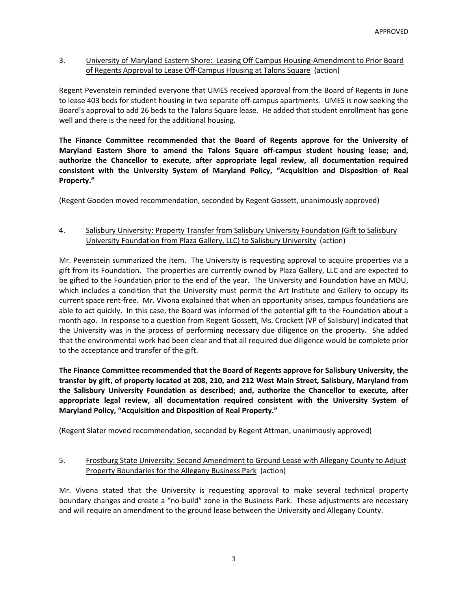### 3. University of Maryland Eastern Shore: Leasing Off Campus Housing-Amendment to Prior Board of Regents Approval to Lease Off‐Campus Housing at Talons Square (action)

Regent Pevenstein reminded everyone that UMES received approval from the Board of Regents in June to lease 403 beds for student housing in two separate off‐campus apartments. UMES is now seeking the Board's approval to add 26 beds to the Talons Square lease. He added that student enrollment has gone well and there is the need for the additional housing.

**The Finance Committee recommended that the Board of Regents approve for the University of Maryland Eastern Shore to amend the Talons Square off‐campus student housing lease; and, authorize the Chancellor to execute, after appropriate legal review, all documentation required consistent with the University System of Maryland Policy, "Acquisition and Disposition of Real Property."** 

(Regent Gooden moved recommendation, seconded by Regent Gossett, unanimously approved)

# 4. Salisbury University: Property Transfer from Salisbury University Foundation (Gift to Salisbury University Foundation from Plaza Gallery, LLC) to Salisbury University (action)

Mr. Pevenstein summarized the item. The University is requesting approval to acquire properties via a gift from its Foundation. The properties are currently owned by Plaza Gallery, LLC and are expected to be gifted to the Foundation prior to the end of the year. The University and Foundation have an MOU, which includes a condition that the University must permit the Art Institute and Gallery to occupy its current space rent‐free. Mr. Vivona explained that when an opportunity arises, campus foundations are able to act quickly. In this case, the Board was informed of the potential gift to the Foundation about a month ago. In response to a question from Regent Gossett, Ms. Crockett (VP of Salisbury) indicated that the University was in the process of performing necessary due diligence on the property. She added that the environmental work had been clear and that all required due diligence would be complete prior to the acceptance and transfer of the gift.

**The Finance Committee recommended that the Board of Regents approve for Salisbury University, the transfer by gift, of property located at 208, 210, and 212 West Main Street, Salisbury, Maryland from the Salisbury University Foundation as described; and, authorize the Chancellor to execute, after appropriate legal review, all documentation required consistent with the University System of Maryland Policy, "Acquisition and Disposition of Real Property."** 

(Regent Slater moved recommendation, seconded by Regent Attman, unanimously approved)

# 5. **Frostburg State University: Second Amendment to Ground Lease with Allegany County to Adjust** Property Boundaries for the Allegany Business Park (action)

Mr. Vivona stated that the University is requesting approval to make several technical property boundary changes and create a "no‐build" zone in the Business Park. These adjustments are necessary and will require an amendment to the ground lease between the University and Allegany County.